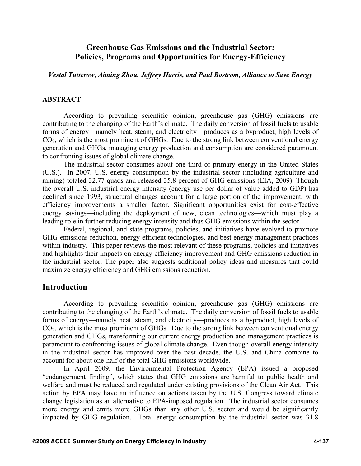# **Greenhouse Gas Emissions and the Industrial Sector: Policies, Programs and Opportunities for Energy-Efficiency**

*Vestal Tutterow, Aiming Zhou, Jeffrey Harris, and Paul Bostrom, Alliance to Save Energy* 

#### **ABSTRACT**

According to prevailing scientific opinion, greenhouse gas (GHG) emissions are contributing to the changing of the Earth's climate. The daily conversion of fossil fuels to usable forms of energy—namely heat, steam, and electricity—produces as a byproduct, high levels of  $CO<sub>2</sub>$ , which is the most prominent of GHGs. Due to the strong link between conventional energy generation and GHGs, managing energy production and consumption are considered paramount to confronting issues of global climate change.

The industrial sector consumes about one third of primary energy in the United States (U.S.). In 2007, U.S. energy consumption by the industrial sector (including agriculture and mining) totaled 32.77 quads and released 35.8 percent of GHG emissions (EIA, 2009). Though the overall U.S. industrial energy intensity (energy use per dollar of value added to GDP) has declined since 1993, structural changes account for a large portion of the improvement, with efficiency improvements a smaller factor. Significant opportunities exist for cost-effective energy savings—including the deployment of new, clean technologies—which must play a leading role in further reducing energy intensity and thus GHG emissions within the sector.

Federal, regional, and state programs, policies, and initiatives have evolved to promote GHG emissions reduction, energy-efficient technologies, and best energy management practices within industry. This paper reviews the most relevant of these programs, policies and initiatives and highlights their impacts on energy efficiency improvement and GHG emissions reduction in the industrial sector. The paper also suggests additional policy ideas and measures that could maximize energy efficiency and GHG emissions reduction.

# **Introduction**

According to prevailing scientific opinion, greenhouse gas (GHG) emissions are contributing to the changing of the Earth's climate. The daily conversion of fossil fuels to usable forms of energy—namely heat, steam, and electricity—produces as a byproduct, high levels of  $CO<sub>2</sub>$ , which is the most prominent of GHGs. Due to the strong link between conventional energy generation and GHGs, transforming our current energy production and management practices is paramount to confronting issues of global climate change. Even though overall energy intensity in the industrial sector has improved over the past decade, the U.S. and China combine to account for about one-half of the total GHG emissions worldwide.

In April 2009, the Environmental Protection Agency (EPA) issued a proposed "endangerment finding", which states that GHG emissions are harmful to public health and welfare and must be reduced and regulated under existing provisions of the Clean Air Act. This action by EPA may have an influence on actions taken by the U.S. Congress toward climate change legislation as an alternative to EPA-imposed regulation. The industrial sector consumes more energy and emits more GHGs than any other U.S. sector and would be significantly impacted by GHG regulation. Total energy consumption by the industrial sector was 31.8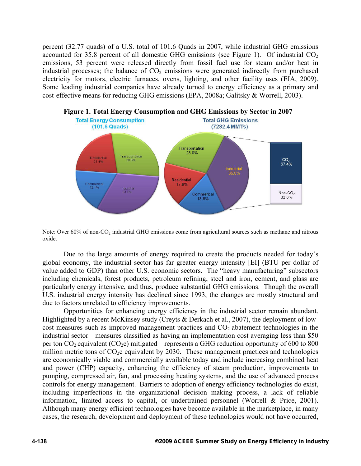percent (32.77 quads) of a U.S. total of 101.6 Quads in 2007, while industrial GHG emissions accounted for 35.8 percent of all domestic GHG emissions (see Figure 1). Of industrial  $CO<sub>2</sub>$ emissions, 53 percent were released directly from fossil fuel use for steam and/or heat in industrial processes; the balance of  $CO<sub>2</sub>$  emissions were generated indirectly from purchased electricity for motors, electric furnaces, ovens, lighting, and other facility uses (EIA, 2009). Some leading industrial companies have already turned to energy efficiency as a primary and cost-effective means for reducing GHG emissions (EPA, 2008a; Galitsky & Worrell, 2003).



# **Figure 1. Total Energy Consumption and GHG Emissions by Sector in 2007**

Note: Over 60% of non-CO<sub>2</sub> industrial GHG emissions come from agricultural sources such as methane and nitrous oxide.

Due to the large amounts of energy required to create the products needed for today's global economy, the industrial sector has far greater energy intensity [EI] (BTU per dollar of value added to GDP) than other U.S. economic sectors. The "heavy manufacturing" subsectors including chemicals, forest products, petroleum refining, steel and iron, cement, and glass are particularly energy intensive, and thus, produce substantial GHG emissions. Though the overall U.S. industrial energy intensity has declined since 1993, the changes are mostly structural and due to factors unrelated to efficiency improvements.

Opportunities for enhancing energy efficiency in the industrial sector remain abundant. Highlighted by a recent McKinsey study (Creyts & Derkach et al., 2007), the deployment of lowcost measures such as improved management practices and  $CO<sub>2</sub>$  abatement technologies in the industrial sector—measures classified as having an implementation cost averaging less than \$50 per ton  $CO_2$  equivalent  $(CO_2e)$  mitigated—represents a GHG reduction opportunity of 600 to 800 million metric tons of  $CO<sub>2</sub>e$  equivalent by 2030. These management practices and technologies are economically viable and commercially available today and include increasing combined heat and power (CHP) capacity, enhancing the efficiency of steam production, improvements to pumping, compressed air, fan, and processing heating systems, and the use of advanced process controls for energy management. Barriers to adoption of energy efficiency technologies do exist, including imperfections in the organizational decision making process, a lack of reliable information, limited access to capital, or undertrained personnel (Worrell & Price, 2001). Although many energy efficient technologies have become available in the marketplace, in many cases, the research, development and deployment of these technologies would not have occurred,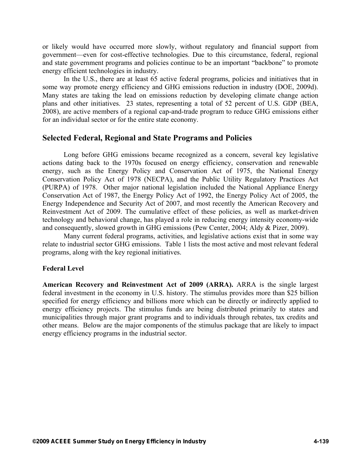or likely would have occurred more slowly, without regulatory and financial support from government—even for cost-effective technologies. Due to this circumstance, federal, regional and state government programs and policies continue to be an important "backbone" to promote energy efficient technologies in industry.

In the U.S., there are at least 65 active federal programs, policies and initiatives that in some way promote energy efficiency and GHG emissions reduction in industry (DOE, 2009d). Many states are taking the lead on emissions reduction by developing climate change action plans and other initiatives. 23 states, representing a total of 52 percent of U.S. GDP (BEA, 2008), are active members of a regional cap-and-trade program to reduce GHG emissions either for an individual sector or for the entire state economy.

## **Selected Federal, Regional and State Programs and Policies**

Long before GHG emissions became recognized as a concern, several key legislative actions dating back to the 1970s focused on energy efficiency, conservation and renewable energy, such as the Energy Policy and Conservation Act of 1975, the National Energy Conservation Policy Act of 1978 (NECPA), and the Public Utility Regulatory Practices Act (PURPA) of 1978. Other major national legislation included the National Appliance Energy Conservation Act of 1987, the Energy Policy Act of 1992, the Energy Policy Act of 2005, the Energy Independence and Security Act of 2007, and most recently the American Recovery and Reinvestment Act of 2009. The cumulative effect of these policies, as well as market-driven technology and behavioral change, has played a role in reducing energy intensity economy-wide and consequently, slowed growth in GHG emissions (Pew Center, 2004; Aldy & Pizer, 2009).

Many current federal programs, activities, and legislative actions exist that in some way relate to industrial sector GHG emissions. Table 1 lists the most active and most relevant federal programs, along with the key regional initiatives.

## **Federal Level**

**American Recovery and Reinvestment Act of 2009 (ARRA).** ARRA is the single largest federal investment in the economy in U.S. history. The stimulus provides more than \$25 billion specified for energy efficiency and billions more which can be directly or indirectly applied to energy efficiency projects. The stimulus funds are being distributed primarily to states and municipalities through major grant programs and to individuals through rebates, tax credits and other means. Below are the major components of the stimulus package that are likely to impact energy efficiency programs in the industrial sector.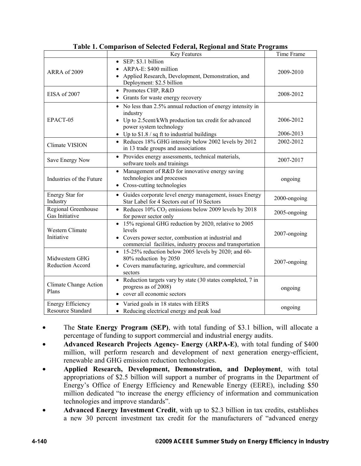|                                                      | Key Features                                                                                                                                                                                                 | Time Frame             |
|------------------------------------------------------|--------------------------------------------------------------------------------------------------------------------------------------------------------------------------------------------------------------|------------------------|
| ARRA of 2009                                         | $\bullet$ SEP: \$3.1 billion<br>ARPA-E: \$400 million<br>Applied Research, Development, Demonstration, and<br>Deployment: \$2.5 billion                                                                      | 2009-2010              |
| EISA of 2007                                         | • Promotes CHP, R&D<br>• Grants for waste energy recovery                                                                                                                                                    | 2008-2012              |
| EPACT-05                                             | • No less than 2.5% annual reduction of energy intensity in<br>industry<br>Up to 2.5cent/kWh production tax credit for advanced<br>power system technology<br>• Up to $$1.8 / sq$ ft to industrial buildings | 2006-2012<br>2006-2013 |
| Climate VISION                                       | • Reduces 18% GHG intensity below 2002 levels by 2012<br>in 13 trade groups and associations                                                                                                                 | 2002-2012              |
| Save Energy Now                                      | • Provides energy assessments, technical materials,<br>software tools and trainings                                                                                                                          | 2007-2017              |
| Industries of the Future                             | • Management of R&D for innovative energy saving<br>technologies and processes<br>• Cross-cutting technologies                                                                                               | ongoing                |
| Energy Star for<br>Industry                          | • Guides corporate level energy management, issues Energy<br>Star Label for 4 Sectors out of 10 Sectors                                                                                                      | 2000-ongoing           |
| Regional Greenhouse<br>Gas Initiative                | Reduces $10\%$ CO <sub>2</sub> emissions below 2009 levels by 2018<br>for power sector only                                                                                                                  | 2005-ongoing           |
| Western Climate<br>Initiative                        | 15% regional GHG reduction by 2020, relative to 2005<br>levels<br>Covers power sector, combustion at industrial and<br>commercial facilities, industry process and transportation                            | 2007-ongoing           |
| Midwestern GHG<br>Reduction Accord                   | $\bullet$ 15-25% reduction below 2005 levels by 2020; and 60-<br>80% reduction by 2050<br>Covers manufacturing, agriculture, and commercial<br>sectors                                                       | 2007-ongoing           |
| <b>Climate Change Action</b><br>Plans                | • Reduction targets vary by state (30 states completed, 7 in<br>progress as of 2008)<br>cover all economic sectors                                                                                           | ongoing                |
| <b>Energy Efficiency</b><br><b>Resource Standard</b> | • Varied goals in 18 states with EERS<br>• Reducing electrical energy and peak load                                                                                                                          | ongoing                |

| Table 1. Comparison of Selected Federal, Regional and State Programs |
|----------------------------------------------------------------------|
|----------------------------------------------------------------------|

- The **State Energy Program (SEP)**, with total funding of \$3.1 billion, will allocate a percentage of funding to support commercial and industrial energy audits.
- **Advanced Research Projects Agency- Energy (ARPA-E)**, with total funding of \$400 million, will perform research and development of next generation energy-efficient, renewable and GHG emission reduction technologies.
- **Applied Research, Development, Demonstration, and Deployment**, with total appropriations of \$2.5 billion will support a number of programs in the Department of Energy's Office of Energy Efficiency and Renewable Energy (EERE), including \$50 million dedicated "to increase the energy efficiency of information and communication technologies and improve standards".
- **Advanced Energy Investment Credit**, with up to \$2.3 billion in tax credits, establishes a new 30 percent investment tax credit for the manufacturers of "advanced energy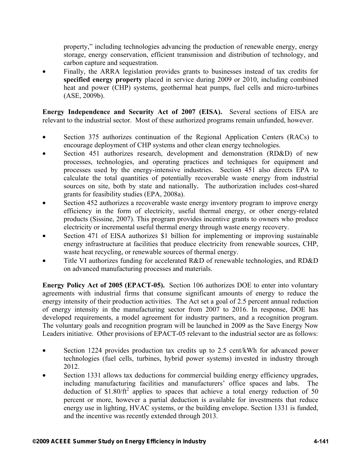property," including technologies advancing the production of renewable energy, energy storage, energy conservation, efficient transmission and distribution of technology, and carbon capture and sequestration.

• Finally, the ARRA legislation provides grants to businesses instead of tax credits for **specified energy property** placed in service during 2009 or 2010, including combined heat and power (CHP) systems, geothermal heat pumps, fuel cells and micro-turbines (ASE, 2009b).

**Energy Independence and Security Act of 2007 (EISA).** Several sections of EISA are relevant to the industrial sector. Most of these authorized programs remain unfunded, however.

- Section 375 authorizes continuation of the Regional Application Centers (RACs) to encourage deployment of CHP systems and other clean energy technologies.
- Section 451 authorizes research, development and demonstration (RD&D) of new processes, technologies, and operating practices and techniques for equipment and processes used by the energy-intensive industries. Section 451 also directs EPA to calculate the total quantities of potentially recoverable waste energy from industrial sources on site, both by state and nationally**.** The authorization includes cost-shared grants for feasibility studies (EPA, 2008a).
- Section 452 authorizes a recoverable waste energy inventory program to improve energy efficiency in the form of electricity, useful thermal energy, or other energy-related products (Sissine, 2007). This program provides incentive grants to owners who produce electricity or incremental useful thermal energy through waste energy recovery.
- Section 471 of EISA authorizes \$1 billion for implementing or improving sustainable energy infrastructure at facilities that produce electricity from renewable sources, CHP, waste heat recycling, or renewable sources of thermal energy.
- Title VI authorizes funding for accelerated R&D of renewable technologies, and RD&D on advanced manufacturing processes and materials.

**Energy Policy Act of 2005 (EPACT-05).** Section 106 authorizes DOE to enter into voluntary agreements with industrial firms that consume significant amounts of energy to reduce the energy intensity of their production activities. The Act set a goal of 2.5 percent annual reduction of energy intensity in the manufacturing sector from 2007 to 2016. In response, DOE has developed requirements, a model agreement for industry partners, and a recognition program. The voluntary goals and recognition program will be launched in 2009 as the Save Energy Now Leaders initiative. Other provisions of EPACT-05 relevant to the industrial sector are as follows:

- Section 1224 provides production tax credits up to 2.5 cent/kWh for advanced power technologies (fuel cells, turbines, hybrid power systems) invested in industry through 2012.
- Section 1331 allows tax deductions for commercial building energy efficiency upgrades, including manufacturing facilities and manufacturers' office spaces and labs. The deduction of  $$1.80/ft^2$  applies to spaces that achieve a total energy reduction of 50 percent or more, however a partial deduction is available for investments that reduce energy use in lighting, HVAC systems, or the building envelope. Section 1331 is funded, and the incentive was recently extended through 2013.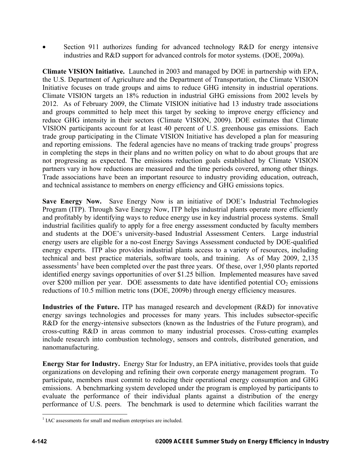Section 911 authorizes funding for advanced technology R&D for energy intensive industries and R&D support for advanced controls for motor systems. (DOE, 2009a).

**Climate VISION Initiative.** Launched in 2003 and managed by DOE in partnership with EPA, the U.S. Department of Agriculture and the Department of Transportation, the Climate VISION Initiative focuses on trade groups and aims to reduce GHG intensity in industrial operations. Climate VISION targets an 18% reduction in industrial GHG emissions from 2002 levels by 2012. As of February 2009, the Climate VISION initiative had 13 industry trade associations and groups committed to help meet this target by seeking to improve energy efficiency and reduce GHG intensity in their sectors (Climate VISION, 2009). DOE estimates that Climate VISION participants account for at least 40 percent of U.S. greenhouse gas emissions. Each trade group participating in the Climate VISION Initiative has developed a plan for measuring and reporting emissions. The federal agencies have no means of tracking trade groups' progress in completing the steps in their plans and no written policy on what to do about groups that are not progressing as expected. The emissions reduction goals established by Climate VISION partners vary in how reductions are measured and the time periods covered, among other things. Trade associations have been an important resource to industry providing education, outreach, and technical assistance to members on energy efficiency and GHG emissions topics.

**Save Energy Now.** Save Energy Now is an initiative of DOE's Industrial Technologies Program (ITP). Through Save Energy Now, ITP helps industrial plants operate more efficiently and profitably by identifying ways to reduce energy use in key industrial process systems. Small industrial facilities qualify to apply for a free energy assessment conducted by faculty members and students at the DOE's university-based Industrial Assessment Centers. Large industrial energy users are eligible for a no-cost Energy Savings Assessment conducted by DOE-qualified energy experts. ITP also provides industrial plants access to a variety of resources, including technical and best practice materials, software tools, and training. As of May 2009, 2,135 assessments<sup>1</sup> have been completed over the past three years. Of these, over 1,950 plants reported identified energy savings opportunities of over \$1.25 billion. Implemented measures have saved over \$200 million per year. DOE assessments to date have identified potential  $CO<sub>2</sub>$  emissions reductions of 10.5 million metric tons (DOE, 2009b) through energy efficiency measures.

**Industries of the Future.** ITP has managed research and development (R&D) for innovative energy savings technologies and processes for many years. This includes subsector-specific R&D for the energy-intensive subsectors (known as the Industries of the Future program), and cross-cutting R&D in areas common to many industrial processes. Cross-cutting examples include research into combustion technology, sensors and controls, distributed generation, and nanomanufacturing.

**Energy Star for Industry.** Energy Star for Industry, an EPA initiative, provides tools that guide organizations on developing and refining their own corporate energy management program. To participate, members must commit to reducing their operational energy consumption and GHG emissions. A benchmarking system developed under the program is employed by participants to evaluate the performance of their individual plants against a distribution of the energy performance of U.S. peers. The benchmark is used to determine which facilities warrant the

<sup>1</sup> <sup>1</sup> IAC assessments for small and medium enterprises are included.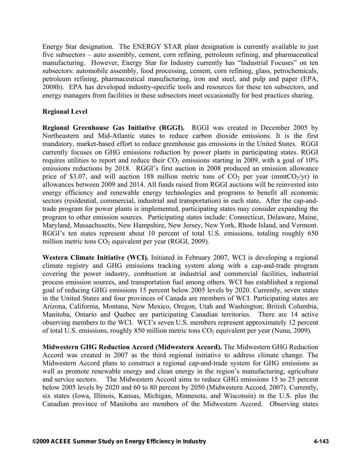Energy Star designation. The ENERGY STAR plant designation is currently available to just five subsectors – auto assembly, cement, corn refining, petroleum refining, and pharmaceutical manufacturing. However, Energy Star for Industry currently has "Industrial Focuses" on ten subsectors: automobile assembly, food processing, cement, corn refining, glass, petrochemicals, petroleum refining, pharmaceutical manufacturing, iron and steel, and pulp and paper (EPA, 2008b). EPA has developed industry-specific tools and resources for these ten subsectors, and energy managers from facilities in these subsectors meet occasionally for best practices sharing.

# **Regional Level**

**Regional Greenhouse Gas Initiative (RGGI).** RGGI was created in December 2005 by Northeastern and Mid-Atlantic states to reduce carbon dioxide emissions. It is the first mandatory, market-based effort to reduce greenhouse gas emissions in the United States. RGGI currently focuses on GHG emissions reduction by power plants in participating states. RGGI requires utilities to report and reduce their  $CO<sub>2</sub>$  emissions starting in 2009, with a goal of 10% emissions reductions by 2018. RGGI's first auction in 2008 produced an emission allowance price of \$3.07, and will auction 188 million metric tons of  $CO<sub>2</sub>$  per year (mmt $CO<sub>2</sub>/yr$ ) in allowances between 2009 and 2014. All funds raised from RGGI auctions will be reinvested into energy efficiency and renewable energy technologies and programs to benefit all economic sectors (residential, commercial, industrial and transportation) in each state**.** After the cap-andtrade program for power plants is implemented, participating states may consider expanding the program to other emission sources. Participating states include: Connecticut, Delaware, Maine, Maryland, Massachusetts, New Hampshire, New Jersey, New York, Rhode Island, and Vermont. RGGI's ten states represent about 10 percent of total U.S. emissions, totaling roughly 650 million metric tons  $CO<sub>2</sub>$  equivalent per year (RGGI, 2009).

**Western Climate Initiative (WCI).** Initiated in February 2007, WCI is developing a regional climate registry and GHG emissions tracking system along with a cap-and-trade program covering the power industry, combustion at industrial and commercial facilities, industrial process emission sources, and transportation fuel among others. WCI has established a regional goal of reducing GHG emissions 15 percent below 2005 levels by 2020. Currently, seven states in the United States and four provinces of Canada are members of WCI. Participating states are Arizona, California, Montana, New Mexico, Oregon, Utah and Washington; British Columbia, Manitoba, Ontario and Quebec are participating Canadian territories. There are 14 active observing members to the WCI. WCI's seven U.S. members represent approximately 12 percent of total U.S. emissions, roughly 850 million metric tons  $CO<sub>2</sub>$  equivalent per year (Nunu, 2009).

**Midwestern GHG Reduction Accord (Midwestern Accord).** The Midwestern GHG Reduction Accord was created in 2007 as the third regional initiative to address climate change. The Midwestern Accord plans to construct a regional cap-and-trade system for GHG emissions as well as promote renewable energy and clean energy in the region's manufacturing, agriculture and service sectors. The Midwestern Accord aims to reduce GHG emissions 15 to 25 percent below 2005 levels by 2020 and 60 to 80 percent by 2050 (Midwestern Accord, 2007). Currently, six states (Iowa, Illinois, Kansas, Michigan, Minnesota, and Wisconsin) in the U.S. plus the Canadian province of Manitoba are members of the Midwestern Accord. Observing states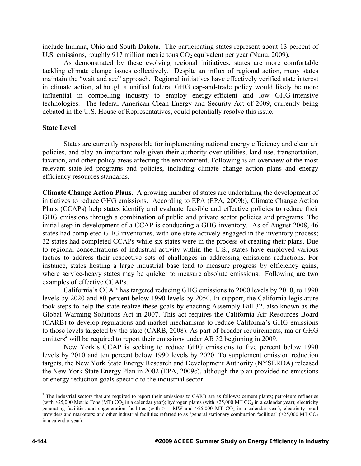include Indiana, Ohio and South Dakota. The participating states represent about 13 percent of U.S. emissions, roughly 917 million metric tons  $CO<sub>2</sub>$  equivalent per year (Nunu, 2009).

As demonstrated by these evolving regional initiatives, states are more comfortable tackling climate change issues collectively. Despite an influx of regional action, many states maintain the "wait and see" approach. Regional initiatives have effectively verified state interest in climate action, although a unified federal GHG cap-and-trade policy would likely be more influential in compelling industry to employ energy-efficient and low GHG-intensive technologies. The federal American Clean Energy and Security Act of 2009, currently being debated in the U.S. House of Representatives, could potentially resolve this issue.

#### **State Level**

States are currently responsible for implementing national energy efficiency and clean air policies, and play an important role given their authority over utilities, land use, transportation, taxation, and other policy areas affecting the environment. Following is an overview of the most relevant state-led programs and policies, including climate change action plans and energy efficiency resources standards.

**Climate Change Action Plans.** A growing number of states are undertaking the development of initiatives to reduce GHG emissions. According to EPA (EPA, 2009b), Climate Change Action Plans (CCAPs) help states identify and evaluate feasible and effective policies to reduce their GHG emissions through a combination of public and private sector policies and programs. The initial step in development of a CCAP is conducting a GHG inventory. As of August 2008, 46 states had completed GHG inventories, with one state actively engaged in the inventory process; 32 states had completed CCAPs while six states were in the process of creating their plans. Due to regional concentrations of industrial activity within the U.S., states have employed various tactics to address their respective sets of challenges in addressing emissions reductions. For instance, states hosting a large industrial base tend to measure progress by efficiency gains, where service-heavy states may be quicker to measure absolute emissions. Following are two examples of effective CCAPs.

California's CCAP has targeted reducing GHG emissions to 2000 levels by 2010, to 1990 levels by 2020 and 80 percent below 1990 levels by 2050. In support, the California legislature took steps to help the state realize these goals by enacting Assembly Bill 32, also known as the Global Warming Solutions Act in 2007. This act requires the California Air Resources Board (CARB) to develop regulations and market mechanisms to reduce California's GHG emissions to those levels targeted by the state (CARB, 2008). As part of broader requirements, major GHG emitters<sup>2</sup> will be required to report their emissions under AB 32 beginning in 2009.

New York's CCAP is seeking to reduce GHG emissions to five percent below 1990 levels by 2010 and ten percent below 1990 levels by 2020. To supplement emission reduction targets, the New York State Energy Research and Development Authority (NYSERDA) released the New York State Energy Plan in 2002 (EPA, 2009c), although the plan provided no emissions or energy reduction goals specific to the industrial sector.

1

 $<sup>2</sup>$  The industrial sectors that are required to report their emissions to CARB are as follows: cement plants; petroleum refineries</sup> (with  $>25,000$  Metric Tons (MT) CO<sub>2</sub> in a calendar year); hydrogen plants (with  $>25,000$  MT CO<sub>2</sub> in a calendar year); electricity generating facilities and cogeneration facilities (with  $> 1$  MW and  $>25,000$  MT CO<sub>2</sub> in a calendar year); electricity retail providers and marketers; and other industrial facilities referred to as "general stationary combustion facilities" (>25,000 MT CO<sub>2</sub> in a calendar year).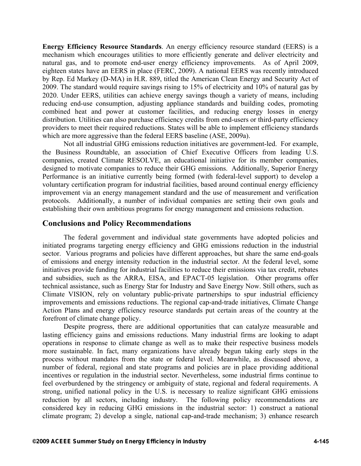**Energy Efficiency Resource Standards**. An energy efficiency resource standard (EERS) is a mechanism which encourages utilities to more efficiently generate and deliver electricity and natural gas, and to promote end-user energy efficiency improvements. As of April 2009, eighteen states have an EERS in place (FERC, 2009). A national EERS was recently introduced by Rep. Ed Markey (D-MA) in H.R. 889, titled the American Clean Energy and Security Act of 2009. The standard would require savings rising to 15% of electricity and 10% of natural gas by 2020. Under EERS, utilities can achieve energy savings though a variety of means, including reducing end-use consumption, adjusting appliance standards and building codes, promoting combined heat and power at customer facilities, and reducing energy losses in energy distribution. Utilities can also purchase efficiency credits from end-users or third-party efficiency providers to meet their required reductions. States will be able to implement efficiency standards which are more aggressive than the federal EERS baseline (ASE, 2009a).

Not all industrial GHG emissions reduction initiatives are government-led. For example, the Business Roundtable, an association of Chief Executive Officers from leading U.S. companies, created Climate RESOLVE, an educational initiative for its member companies, designed to motivate companies to reduce their GHG emissions. Additionally, Superior Energy Performance is an initiative currently being formed (with federal-level support) to develop a voluntary certification program for industrial facilities, based around continual energy efficiency improvement via an energy management standard and the use of measurement and verification protocols. Additionally, a number of individual companies are setting their own goals and establishing their own ambitious programs for energy management and emissions reduction.

# **Conclusions and Policy Recommendations**

The federal government and individual state governments have adopted policies and initiated programs targeting energy efficiency and GHG emissions reduction in the industrial sector. Various programs and policies have different approaches, but share the same end-goals of emissions and energy intensity reduction in the industrial sector. At the federal level, some initiatives provide funding for industrial facilities to reduce their emissions via tax credit, rebates and subsidies, such as the ARRA, EISA, and EPACT-05 legislation. Other programs offer technical assistance, such as Energy Star for Industry and Save Energy Now. Still others, such as Climate VISION, rely on voluntary public-private partnerships to spur industrial efficiency improvements and emissions reductions. The regional cap-and-trade initiatives, Climate Change Action Plans and energy efficiency resource standards put certain areas of the country at the forefront of climate change policy.

Despite progress, there are additional opportunities that can catalyze measurable and lasting efficiency gains and emissions reductions. Many industrial firms are looking to adapt operations in response to climate change as well as to make their respective business models more sustainable. In fact, many organizations have already begun taking early steps in the process without mandates from the state or federal level. Meanwhile, as discussed above, a number of federal, regional and state programs and policies are in place providing additional incentives or regulation in the industrial sector. Nevertheless, some industrial firms continue to feel overburdened by the stringency or ambiguity of state, regional and federal requirements. A strong, unified national policy in the U.S. is necessary to realize significant GHG emissions reduction by all sectors, including industry. The following policy recommendations are considered key in reducing GHG emissions in the industrial sector: 1) construct a national climate program; 2) develop a single, national cap-and-trade mechanism; 3) enhance research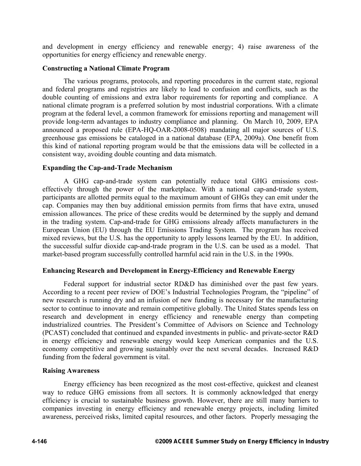and development in energy efficiency and renewable energy; 4) raise awareness of the opportunities for energy efficiency and renewable energy.

## **Constructing a National Climate Program**

The various programs, protocols, and reporting procedures in the current state, regional and federal programs and registries are likely to lead to confusion and conflicts, such as the double counting of emissions and extra labor requirements for reporting and compliance. A national climate program is a preferred solution by most industrial corporations. With a climate program at the federal level, a common framework for emissions reporting and management will provide long-term advantages to industry compliance and planning. On March 10, 2009, EPA announced a proposed rule (EPA-HQ-OAR-2008-0508) mandating all major sources of U.S. greenhouse gas emissions be cataloged in a national database (EPA, 2009a). One benefit from this kind of national reporting program would be that the emissions data will be collected in a consistent way, avoiding double counting and data mismatch.

## **Expanding the Cap-and-Trade Mechanism**

A GHG cap-and-trade system can potentially reduce total GHG emissions costeffectively through the power of the marketplace. With a national cap-and-trade system, participants are allotted permits equal to the maximum amount of GHGs they can emit under the cap. Companies may then buy additional emission permits from firms that have extra, unused emission allowances. The price of these credits would be determined by the supply and demand in the trading system. Cap-and-trade for GHG emissions already affects manufacturers in the European Union (EU) through the EU Emissions Trading System. The program has received mixed reviews, but the U.S. has the opportunity to apply lessons learned by the EU. In addition, the successful sulfur dioxide cap-and-trade program in the U.S. can be used as a model. That market-based program successfully controlled harmful acid rain in the U.S. in the 1990s.

## **Enhancing Research and Development in Energy-Efficiency and Renewable Energy**

Federal support for industrial sector RD&D has diminished over the past few years. According to a recent peer review of DOE's Industrial Technologies Program, the "pipeline" of new research is running dry and an infusion of new funding is necessary for the manufacturing sector to continue to innovate and remain competitive globally. The United States spends less on research and development in energy efficiency and renewable energy than competing industrialized countries. The President's Committee of Advisors on Science and Technology (PCAST) concluded that continued and expanded investments in public- and private-sector R&D in energy efficiency and renewable energy would keep American companies and the U.S. economy competitive and growing sustainably over the next several decades. Increased R&D funding from the federal government is vital.

## **Raising Awareness**

Energy efficiency has been recognized as the most cost-effective, quickest and cleanest way to reduce GHG emissions from all sectors. It is commonly acknowledged that energy efficiency is crucial to sustainable business growth. However, there are still many barriers to companies investing in energy efficiency and renewable energy projects, including limited awareness, perceived risks, limited capital resources, and other factors. Properly messaging the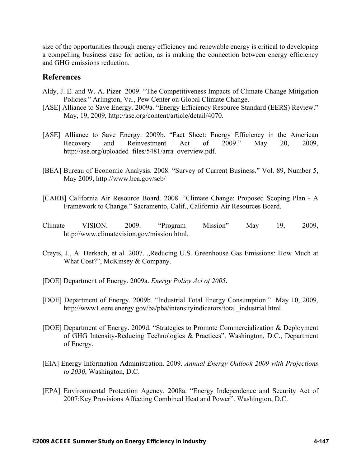size of the opportunities through energy efficiency and renewable energy is critical to developing a compelling business case for action, as is making the connection between energy efficiency and GHG emissions reduction.

# **References**

- Aldy, J. E. and W. A. Pizer 2009. "The Competitiveness Impacts of Climate Change Mitigation Policies." Arlington, Va., Pew Center on Global Climate Change.
- [ASE] Alliance to Save Energy. 2009a. "Energy Efficiency Resource Standard (EERS) Review." May, 19, 2009, http://ase.org/content/article/detail/4070.
- [ASE] Alliance to Save Energy. 2009b. "Fact Sheet: Energy Efficiency in the American Recovery and Reinvestment Act of 2009." May 20, 2009, http://ase.org/uploaded\_files/5481/arra\_overview.pdf.
- [BEA] Bureau of Economic Analysis. 2008. "Survey of Current Business." Vol. 89, Number 5, May 2009, http://www.bea.gov/scb/
- [CARB] California Air Resource Board. 2008. "Climate Change: Proposed Scoping Plan A Framework to Change." Sacramento, Calif., California Air Resources Board.
- Climate VISION. 2009. "Program Mission" May 19, 2009, http://www.climatevision.gov/mission.html.
- Creyts, J., A. Derkach, et al. 2007. "Reducing U.S. Greenhouse Gas Emissions: How Much at What Cost?", McKinsey & Company.
- [DOE] Department of Energy. 2009a. *Energy Policy Act of 2005*.
- [DOE] Department of Energy. 2009b. "Industrial Total Energy Consumption." May 10, 2009, http://www1.eere.energy.gov/ba/pba/intensityindicators/total\_industrial.html.
- [DOE] Department of Energy. 2009d. "Strategies to Promote Commercialization & Deployment of GHG Intensity-Reducing Technologies & Practices". Washington, D.C., Department of Energy.
- [EIA] Energy Information Administration. 2009. *Annual Energy Outlook 2009 with Projections to 2030*, Washington, D.C.
- [EPA] Environmental Protection Agency. 2008a. "Energy Independence and Security Act of 2007:Key Provisions Affecting Combined Heat and Power". Washington, D.C.